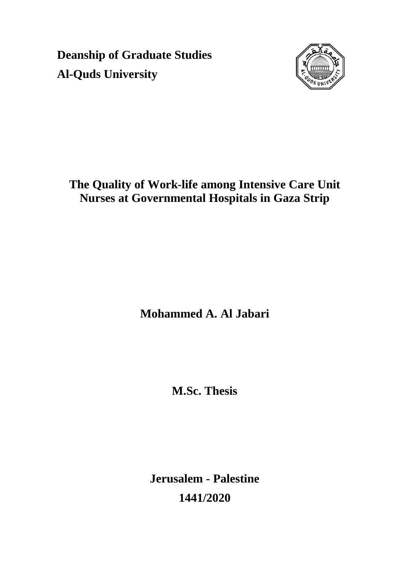**Deanship of Graduate Studies Al-Quds University**



# **The Quality of Work-life among Intensive Care Unit Nurses at Governmental Hospitals in Gaza Strip**

**Mohammed A. Al Jabari**

**M.Sc. Thesis**

**Jerusalem - Palestine 1441/2020**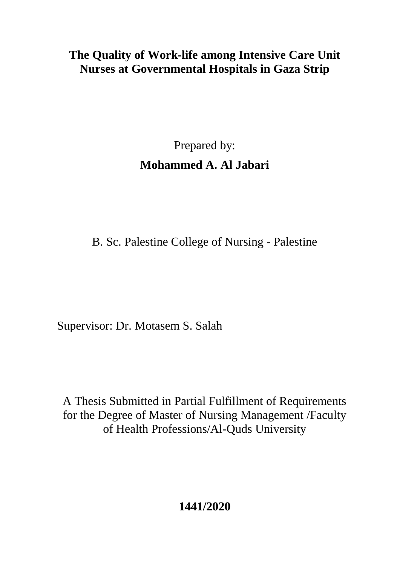# **The Quality of Work-life among Intensive Care Unit Nurses at Governmental Hospitals in Gaza Strip**

# Prepared by: **Mohammed A. Al Jabari**

B. Sc. Palestine College of Nursing - Palestine

Supervisor: Dr. Motasem S. Salah

A Thesis Submitted in Partial Fulfillment of Requirements for the Degree of Master of Nursing Management /Faculty of Health Professions/Al-Quds University

**1441/2020**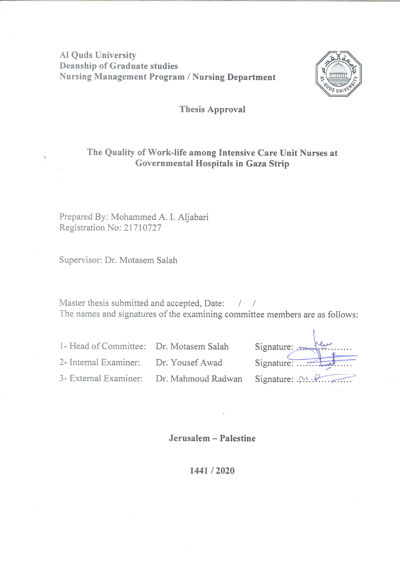**Al Ouds University Deanship of Graduate studies Nursing Management Program / Nursing Department** 



#### **Thesis Approval**

#### The Quality of Work-life among Intensive Care Unit Nurses at Governmental Hospitals in Gaza Strip

Prepared By: Mohammed A. I. Aljabari Registration No: 21710727

Supervisor: Dr. Motasem Salah

Master thesis submitted and accepted, Date: / / The names and signatures of the examining committee members are as follows:

1- Head of Committee: Dr. Motasem Salah 2- Internal Examiner: Dr. Yousef Awad

3- External Examiner: Dr. Mahmoud Radwan

| Signature:      |  |
|-----------------|--|
| Signature:      |  |
| Signature: . M. |  |
|                 |  |

Jerusalem - Palestine

1441/2020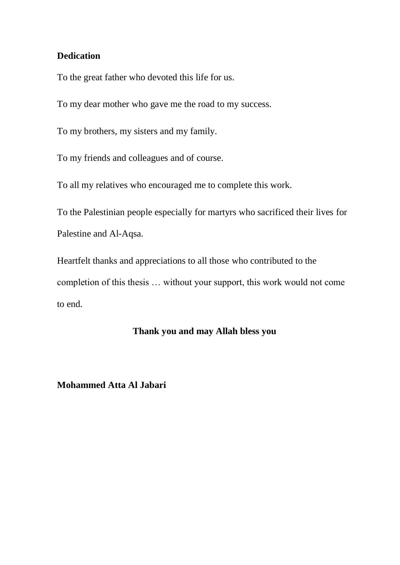#### <span id="page-3-0"></span>**Dedication**

To the great father who devoted this life for us.

To my dear mother who gave me the road to my success.

To my brothers, my sisters and my family.

To my friends and colleagues and of course.

To all my relatives who encouraged me to complete this work.

To the Palestinian people especially for martyrs who sacrificed their lives for Palestine and Al-Aqsa.

Heartfelt thanks and appreciations to all those who contributed to the completion of this thesis … without your support, this work would not come to end.

#### **Thank you and may Allah bless you**

#### **Mohammed Atta Al Jabari**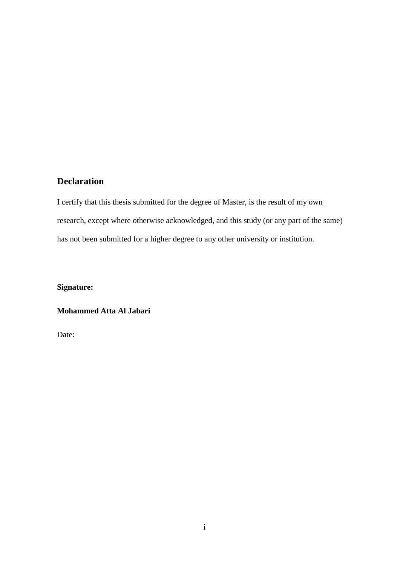### <span id="page-4-0"></span>**Declaration**

I certify that this thesis submitted for the degree of Master, is the result of my own research, except where otherwise acknowledged, and this study (or any part of the same) has not been submitted for a higher degree to any other university or institution.

**Signature:**

#### **Mohammed Atta Al Jabari**

Date: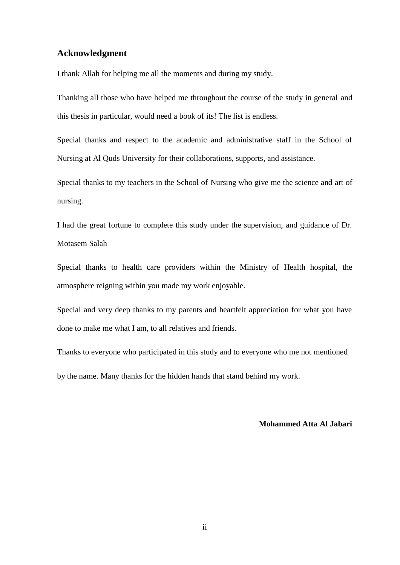#### <span id="page-5-0"></span>**Acknowledgment**

I thank Allah for helping me all the moments and during my study.

Thanking all those who have helped me throughout the course of the study in general and this thesis in particular, would need a book of its! The list is endless.

Special thanks and respect to the academic and administrative staff in the School of Nursing at Al Quds University for their collaborations, supports, and assistance.

Special thanks to my teachers in the School of Nursing who give me the science and art of nursing.

I had the great fortune to complete this study under the supervision, and guidance of Dr. Motasem Salah

Special thanks to health care providers within the Ministry of Health hospital, the atmosphere reigning within you made my work enjoyable.

Special and very deep thanks to my parents and heartfelt appreciation for what you have done to make me what I am, to all relatives and friends.

Thanks to everyone who participated in this study and to everyone who me not mentioned by the name. Many thanks for the hidden hands that stand behind my work.

#### **Mohammed Atta Al Jabari**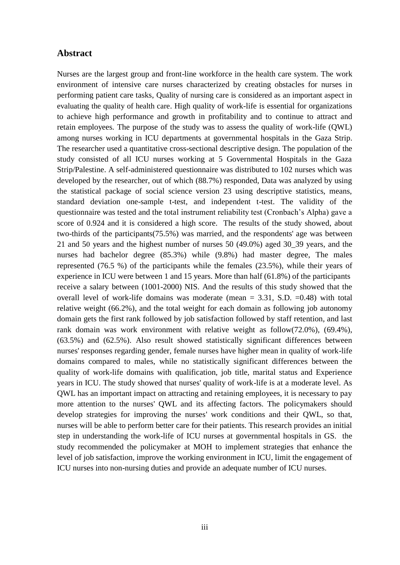#### <span id="page-6-0"></span>**Abstract**

Nurses are the largest group and front-line workforce in the health care system. The work environment of intensive care nurses characterized by creating obstacles for nurses in performing patient care tasks, Quality of nursing care is considered as an important aspect in evaluating the quality of health care. High quality of work-life is essential for organizations to achieve high performance and growth in profitability and to continue to attract and retain employees. The purpose of the study was to assess the quality of work-life (QWL) among nurses working in ICU departments at governmental hospitals in the Gaza Strip. The researcher used a quantitative cross-sectional descriptive design. The population of the study consisted of all ICU nurses working at 5 Governmental Hospitals in the Gaza Strip/Palestine. A self-administered questionnaire was distributed to 102 nurses which was developed by the researcher, out of which (88.7%) responded, Data was analyzed by using the statistical package of social science version 23 using descriptive statistics, means, standard deviation one-sample t-test, and independent t-test. The validity of the questionnaire was tested and the total instrument reliability test (Cronbach's Alpha) gave a score of 0.924 and it is considered a high score. The results of the study showed, about two-thirds of the participants(75.5%) was married, and the respondents' age was between 21 and 50 years and the highest number of nurses 50 (49.0%) aged 30\_39 years, and the nurses had bachelor degree (85.3%) while (9.8%) had master degree, The males represented (76.5 %) of the participants while the females (23.5%), while their years of experience in ICU were between 1 and 15 years. More than half (61.8%) of the participants receive a salary between (1001-2000) NIS. And the results of this study showed that the overall level of work-life domains was moderate (mean  $= 3.31$ , S.D.  $= 0.48$ ) with total relative weight (66.2%), and the total weight for each domain as following job autonomy domain gets the first rank followed by job satisfaction followed by staff retention, and last rank domain was work environment with relative weight as follow(72.0%), (69.4%), (63.5%) and (62.5%). Also result showed statistically significant differences between nurses' responses regarding gender, female nurses have higher mean in quality of work-life domains compared to males, while no statistically significant differences between the quality of work-life domains with qualification, job title, marital status and Experience years in ICU. The study showed that nurses' quality of work-life is at a moderate level. As QWL has an important impact on attracting and retaining employees, it is necessary to pay more attention to the nurses' QWL and its affecting factors. The policymakers should develop strategies for improving the nurses' work conditions and their QWL, so that, nurses will be able to perform better care for their patients. This research provides an initial step in understanding the work-life of ICU nurses at governmental hospitals in GS. the study recommended the policymaker at MOH to implement strategies that enhance the level of job satisfaction, improve the working environment in ICU, limit the engagement of ICU nurses into non-nursing duties and provide an adequate number of ICU nurses.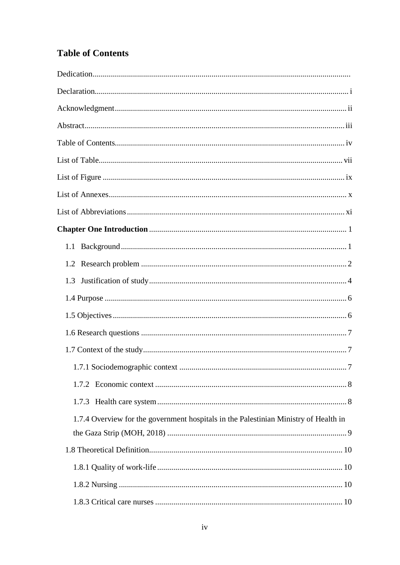## <span id="page-7-0"></span>**Table of Contents**

| 1.3                                                                                  |  |
|--------------------------------------------------------------------------------------|--|
|                                                                                      |  |
|                                                                                      |  |
|                                                                                      |  |
|                                                                                      |  |
|                                                                                      |  |
|                                                                                      |  |
|                                                                                      |  |
| 1.7.4 Overview for the government hospitals in the Palestinian Ministry of Health in |  |
|                                                                                      |  |
|                                                                                      |  |
|                                                                                      |  |
|                                                                                      |  |
|                                                                                      |  |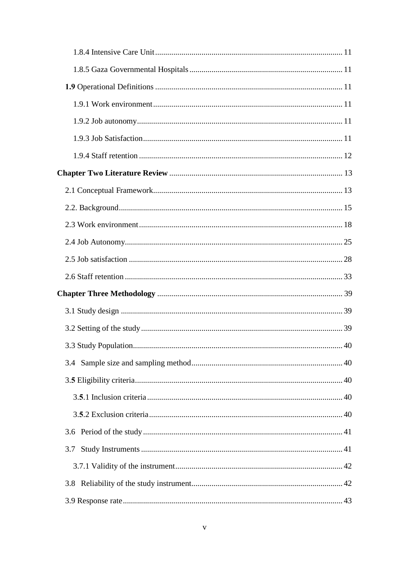|     | 40 |
|-----|----|
|     |    |
|     |    |
|     |    |
|     |    |
|     |    |
| 3.7 |    |
|     |    |
|     |    |
|     |    |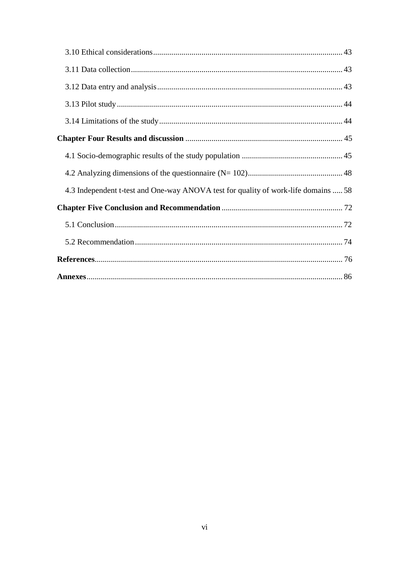| 4.3 Independent t-test and One-way ANOVA test for quality of work-life domains  58 |  |
|------------------------------------------------------------------------------------|--|
|                                                                                    |  |
|                                                                                    |  |
|                                                                                    |  |
|                                                                                    |  |
|                                                                                    |  |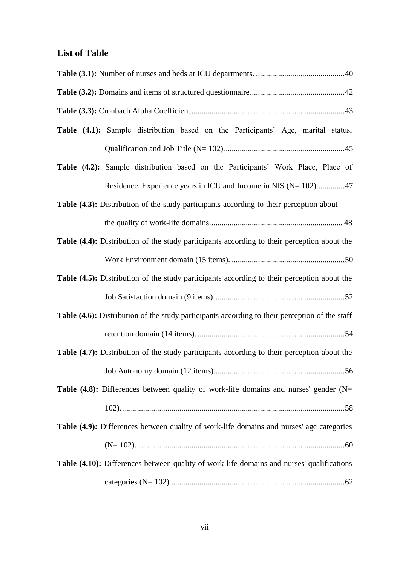## <span id="page-10-0"></span>**List of Table**

| Table (4.1): Sample distribution based on the Participants' Age, marital status,                   |
|----------------------------------------------------------------------------------------------------|
|                                                                                                    |
| Table (4.2): Sample distribution based on the Participants' Work Place, Place of                   |
| Residence, Experience years in ICU and Income in NIS (N= 102)47                                    |
| Table (4.3): Distribution of the study participants according to their perception about            |
|                                                                                                    |
| Table (4.4): Distribution of the study participants according to their perception about the        |
|                                                                                                    |
| Table (4.5): Distribution of the study participants according to their perception about the        |
|                                                                                                    |
| Table (4.6): Distribution of the study participants according to their perception of the staff     |
|                                                                                                    |
| <b>Table (4.7):</b> Distribution of the study participants according to their perception about the |
|                                                                                                    |
| <b>Table (4.8):</b> Differences between quality of work-life domains and nurses' gender ( $N=$     |
|                                                                                                    |
| Table (4.9): Differences between quality of work-life domains and nurses' age categories           |
|                                                                                                    |
| Table (4.10): Differences between quality of work-life domains and nurses' qualifications          |
|                                                                                                    |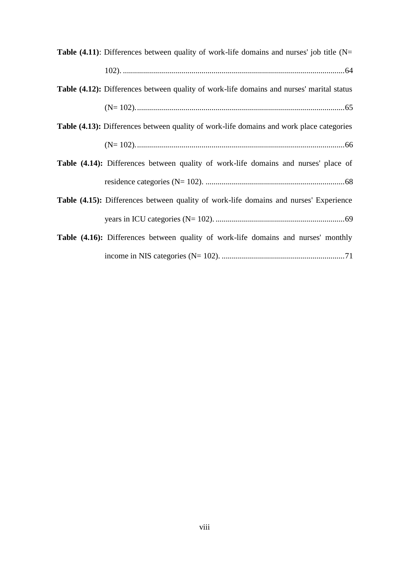| <b>Table (4.11):</b> Differences between quality of work-life domains and nurses' job title ( $N=$ |
|----------------------------------------------------------------------------------------------------|
|                                                                                                    |
| <b>Table (4.12):</b> Differences between quality of work-life domains and nurses' marital status   |
|                                                                                                    |
| <b>Table (4.13):</b> Differences between quality of work-life domains and work place categories    |
|                                                                                                    |
| Table (4.14): Differences between quality of work-life domains and nurses' place of                |
|                                                                                                    |
| Table (4.15): Differences between quality of work-life domains and nurses' Experience              |
|                                                                                                    |
| <b>Table (4.16):</b> Differences between quality of work-life domains and nurses' monthly          |
|                                                                                                    |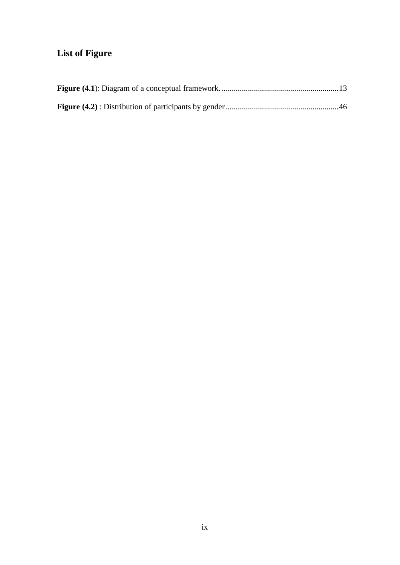## <span id="page-12-0"></span>**List of Figure**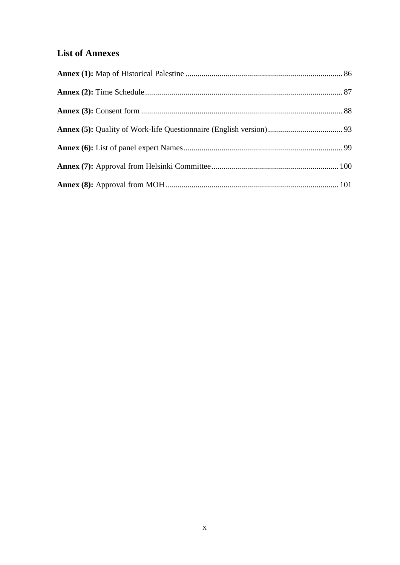## <span id="page-13-0"></span>**List of Annexes**